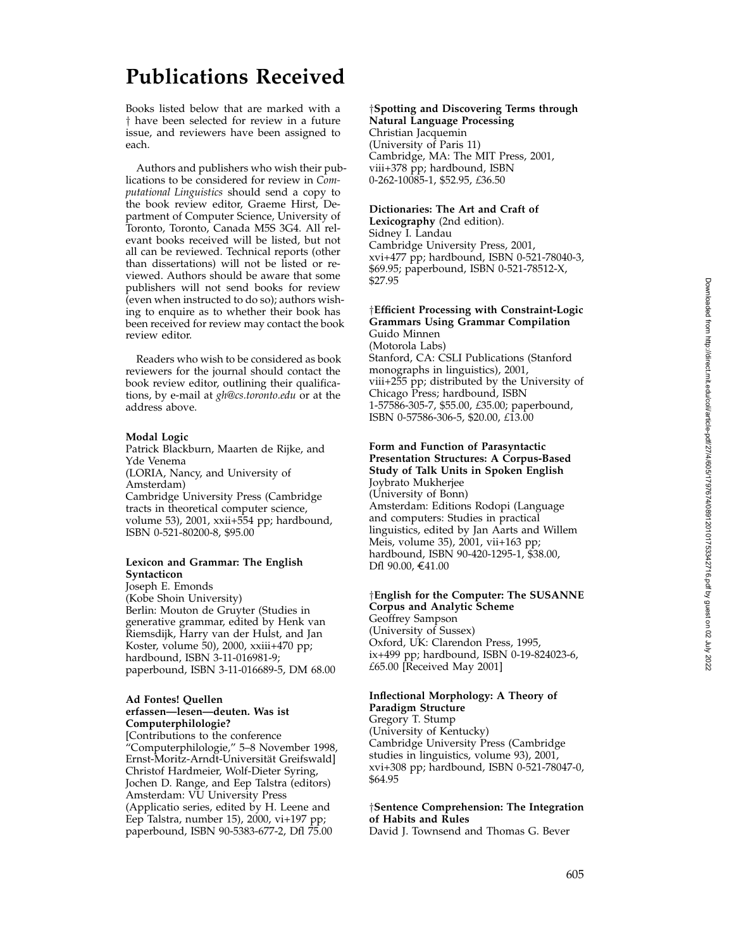# **Publications Received**

Books listed below that are marked with a † have been selected for review in a future issue, and reviewers have been assigned to each.

Authors and publishers who wish their publications to be considered for review in *Computational Linguistics* should send a copy to the book review editor, Graeme Hirst, Department of Computer Science, University of Toronto, Toronto, Canada M5S 3G4. All relevant books received will be listed, but not all can be reviewed. Technical reports (other than dissertations) will not be listed or reviewed. Authors should be aware that some publishers will not send books for review (even when instructed to do so); authors wishing to enquire as to whether their book has been received for review may contact the book review editor.

Readers who wish to be considered as book reviewers for the journal should contact the book review editor, outlining their qualifications, by e-mail at *gh@cs.toronto.edu* or at the address above.

#### **Modal Logic**

Patrick Blackburn, Maarten de Rijke, and Yde Venema (LORIA, Nancy, and University of Amsterdam) Cambridge University Press (Cambridge tracts in theoretical computer science, volume 53), 2001, xxii+554 pp; hardbound, ISBN 0-521-80200-8, \$95.00

#### **Lexicon and Grammar: The English Syntacticon**

Joseph E. Emonds (Kobe Shoin University) Berlin: Mouton de Gruyter (Studies in generative grammar, edited by Henk van Riemsdijk, Harry van der Hulst, and Jan Koster, volume 50), 2000, xxiii+470 pp; hardbound, ISBN 3-11-016981-9; paperbound, ISBN 3-11-016689-5, DM 68.00

#### **Ad Fontes! Quellen erfassen—lesen—deuten. Was ist Computerphilologie?**

[Contributions to the conference "Computerphilologie," 5–8 November 1998, Ernst-Moritz-Arndt-Universität Greifswald] Christof Hardmeier, Wolf-Dieter Syring, Jochen D. Range, and Eep Talstra (editors) Amsterdam: VU University Press (Applicatio series, edited by H. Leene and Eep Talstra, number 15), 2000, vi+197 pp; paperbound, ISBN 90-5383-677-2, Dfl 75.00

# †**Spotting and Discovering Terms through Natural Language Processing**

Christian Jacquemin (University of Paris 11) Cambridge, MA: The MIT Press, 2001, viii+378 pp; hardbound, ISBN 0-262-10085-1, \$52.95, *£*36.50

# **Dictionaries: The Art and Craft of**

**Lexicography** (2nd edition). Sidney I. Landau Cambridge University Press, 2001, xvi+477 pp; hardbound, ISBN 0-521-78040-3, \$69.95; paperbound, ISBN 0-521-78512-X, \$27.95

# †**Efficient Processing with Constraint-Logic Grammars Using Grammar Compilation**

Guido Minnen (Motorola Labs) Stanford, CA: CSLI Publications (Stanford monographs in linguistics), 2001, viii+255 pp; distributed by the University of Chicago Press; hardbound, ISBN 1-57586-305-7, \$55.00, *£*35.00; paperbound, ISBN 0-57586-306-5, \$20.00, *£*13.00

#### **Form and Function of Parasyntactic Presentation Structures: A Corpus-Based Study of Talk Units in Spoken English**

Joybrato Mukherjee (University of Bonn) Amsterdam: Editions Rodopi (Language and computers: Studies in practical linguistics, edited by Jan Aarts and Willem Meis, volume 35), 2001, vii+163 pp; hardbound, ISBN 90-420-1295-1, \$38.00, Dfl 90.00, €41.00

#### †**English for the Computer: The SUSANNE Corpus and Analytic Scheme**

Geoffrey Sampson (University of Sussex) Oxford, UK: Clarendon Press, 1995, ix+499 pp; hardbound, ISBN 0-19-824023-6, *£*65.00 [Received May 2001]

#### **Inflectional Morphology: A Theory of Paradigm Structure**

Gregory T. Stump (University of Kentucky) Cambridge University Press (Cambridge studies in linguistics, volume 93), 2001, xvi+308 pp; hardbound, ISBN 0-521-78047-0, \$64.95

# †**Sentence Comprehension: The Integration of Habits and Rules**

David J. Townsend and Thomas G. Bever